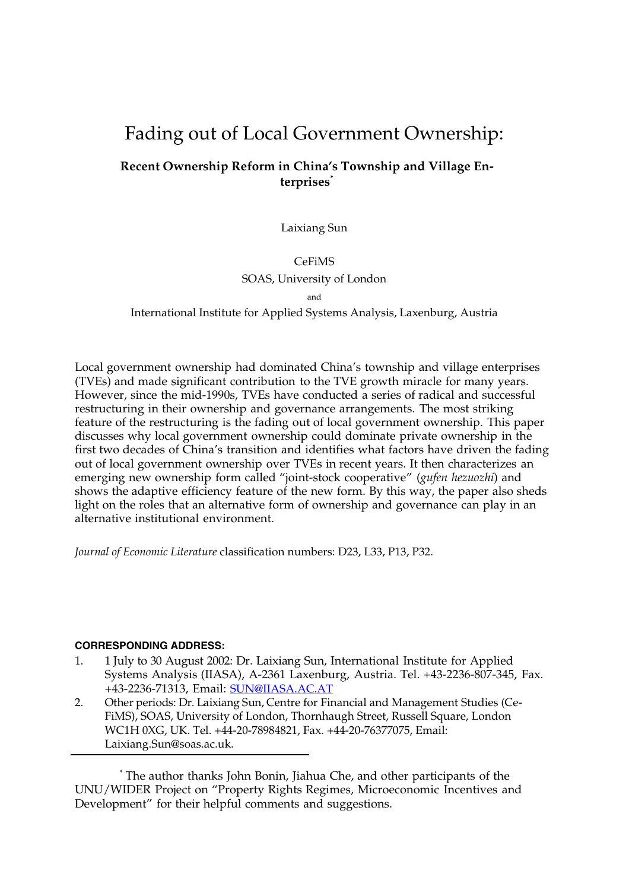# Fading out of Local Government Ownership:

# **Recent Ownership Reform in China's Township and Village Enterprises\***

Laixiang Sun

## CeFiMS

SOAS, University of London

and

International Institute for Applied Systems Analysis, Laxenburg, Austria

Local government ownership had dominated China's township and village enterprises (TVEs) and made significant contribution to the TVE growth miracle for many years. However, since the mid-1990s, TVEs have conducted a series of radical and successful restructuring in their ownership and governance arrangements. The most striking feature of the restructuring is the fading out of local government ownership. This paper discusses why local government ownership could dominate private ownership in the first two decades of China's transition and identifies what factors have driven the fading out of local government ownership over TVEs in recent years. It then characterizes an emerging new ownership form called "joint-stock cooperative" (*gufen hezuozhi*) and shows the adaptive efficiency feature of the new form. By this way, the paper also sheds light on the roles that an alternative form of ownership and governance can play in an alternative institutional environment.

*Journal of Economic Literature* classification numbers: D23, L33, P13, P32.

## **CORRESPONDING ADDRESS:**

- 1. 1 July to 30 August 2002: Dr. Laixiang Sun, International Institute for Applied Systems Analysis (IIASA), A-2361 Laxenburg, Austria. Tel. +43-2236-807-345, Fax. +43-2236-71313, Email: SUN@IIASA.AC.AT
- 2. Other periods: Dr. Laixiang Sun, Centre for Financial and Management Studies (Ce-FiMS), SOAS, University of London, Thornhaugh Street, Russell Square, London WC1H 0XG, UK. Tel. +44-20-78984821, Fax. +44-20-76377075, Email: Laixiang.Sun@soas.ac.uk.

\* The author thanks John Bonin, Jiahua Che, and other participants of the UNU/WIDER Project on "Property Rights Regimes, Microeconomic Incentives and Development" for their helpful comments and suggestions.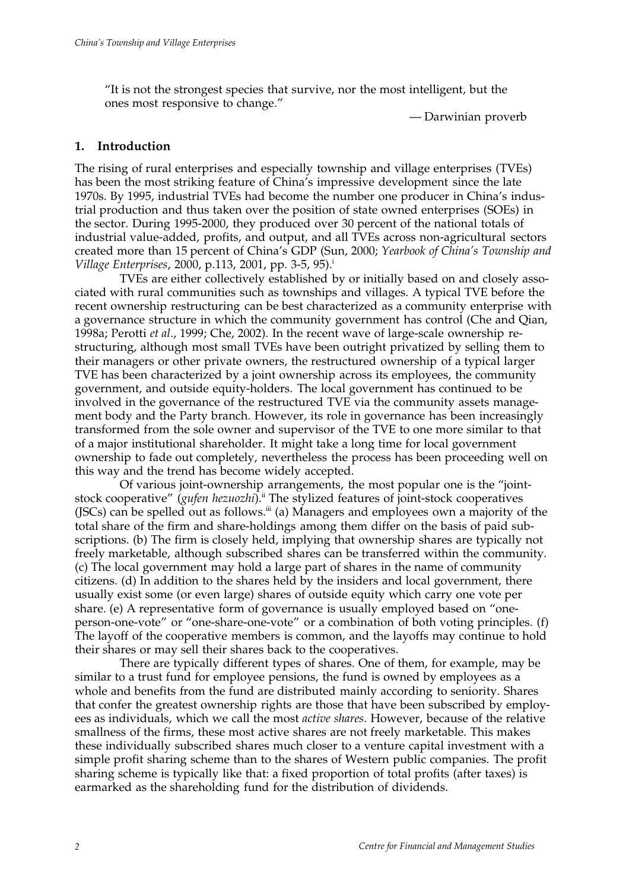"It is not the strongest species that survive, nor the most intelligent, but the ones most responsive to change."

— Darwinian proverb

## **1. Introduction**

The rising of rural enterprises and especially township and village enterprises (TVEs) has been the most striking feature of China's impressive development since the late 1970s. By 1995, industrial TVEs had become the number one producer in China's industrial production and thus taken over the position of state owned enterprises (SOEs) in the sector. During 1995-2000, they produced over 30 percent of the national totals of industrial value-added, profits, and output, and all TVEs across non-agricultural sectors created more than 15 percent of China's GDP (Sun, 2000; *Yearbook of China's Township and Village Enterprises*, 2000, p.113, 2001, pp. 3-5, 95).i

TVEs are either collectively established by or initially based on and closely associated with rural communities such as townships and villages. A typical TVE before the recent ownership restructuring can be best characterized as a community enterprise with a governance structure in which the community government has control (Che and Qian, 1998a; Perotti *et al*., 1999; Che, 2002). In the recent wave of large-scale ownership restructuring, although most small TVEs have been outright privatized by selling them to their managers or other private owners, the restructured ownership of a typical larger TVE has been characterized by a joint ownership across its employees, the community government, and outside equity-holders. The local government has continued to be involved in the governance of the restructured TVE via the community assets management body and the Party branch. However, its role in governance has been increasingly transformed from the sole owner and supervisor of the TVE to one more similar to that of a major institutional shareholder. It might take a long time for local government ownership to fade out completely, nevertheless the process has been proceeding well on this way and the trend has become widely accepted.

Of various joint-ownership arrangements, the most popular one is the "jointstock cooperative" (*gufen hezuozhi*).<sup>ii</sup> The stylized features of joint-stock cooperatives (JSCs) can be spelled out as follows.<sup>iii</sup> (a) Managers and employees own a majority of the total share of the firm and share-holdings among them differ on the basis of paid subscriptions. (b) The firm is closely held, implying that ownership shares are typically not freely marketable, although subscribed shares can be transferred within the community. (c) The local government may hold a large part of shares in the name of community citizens. (d) In addition to the shares held by the insiders and local government, there usually exist some (or even large) shares of outside equity which carry one vote per share. (e) A representative form of governance is usually employed based on "oneperson-one-vote" or "one-share-one-vote" or a combination of both voting principles. (f) The layoff of the cooperative members is common, and the layoffs may continue to hold their shares or may sell their shares back to the cooperatives.

There are typically different types of shares. One of them, for example, may be similar to a trust fund for employee pensions, the fund is owned by employees as a whole and benefits from the fund are distributed mainly according to seniority. Shares that confer the greatest ownership rights are those that have been subscribed by employees as individuals, which we call the most *active shares*. However, because of the relative smallness of the firms, these most active shares are not freely marketable. This makes these individually subscribed shares much closer to a venture capital investment with a simple profit sharing scheme than to the shares of Western public companies. The profit sharing scheme is typically like that: a fixed proportion of total profits (after taxes) is earmarked as the shareholding fund for the distribution of dividends.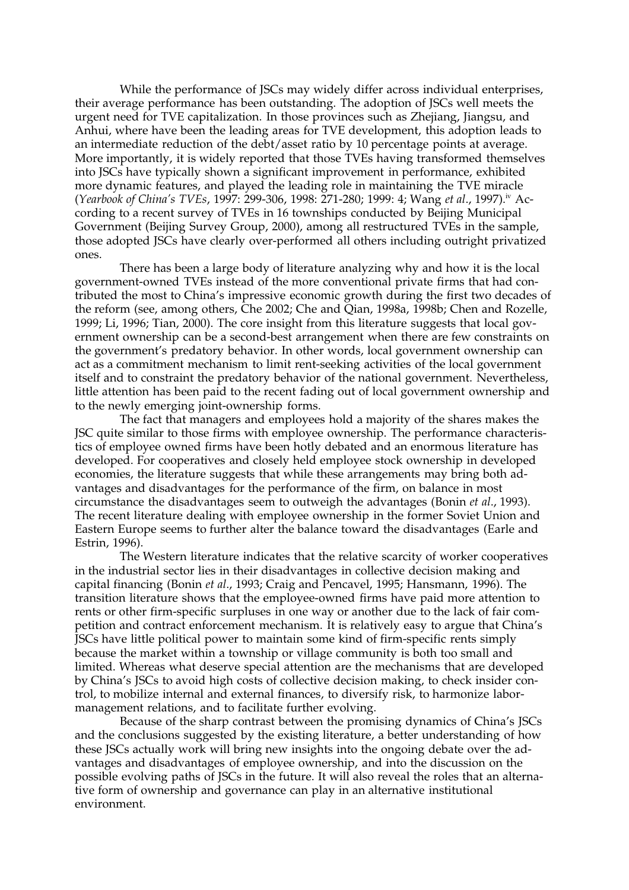While the performance of JSCs may widely differ across individual enterprises, their average performance has been outstanding. The adoption of JSCs well meets the urgent need for TVE capitalization. In those provinces such as Zhejiang, Jiangsu, and Anhui, where have been the leading areas for TVE development, this adoption leads to an intermediate reduction of the debt/asset ratio by 10 percentage points at average. More importantly, it is widely reported that those TVEs having transformed themselves into JSCs have typically shown a significant improvement in performance, exhibited more dynamic features, and played the leading role in maintaining the TVE miracle (*Yearbook of China's TVEs*, 1997: 299-306, 1998: 271-280; 1999: 4; Wang *et al*., 1997).iv According to a recent survey of TVEs in 16 townships conducted by Beijing Municipal Government (Beijing Survey Group, 2000), among all restructured TVEs in the sample, those adopted JSCs have clearly over-performed all others including outright privatized ones.

There has been a large body of literature analyzing why and how it is the local government-owned TVEs instead of the more conventional private firms that had contributed the most to China's impressive economic growth during the first two decades of the reform (see, among others, Che 2002; Che and Qian, 1998a, 1998b; Chen and Rozelle, 1999; Li, 1996; Tian, 2000). The core insight from this literature suggests that local government ownership can be a second-best arrangement when there are few constraints on the government's predatory behavior. In other words, local government ownership can act as a commitment mechanism to limit rent-seeking activities of the local government itself and to constraint the predatory behavior of the national government. Nevertheless, little attention has been paid to the recent fading out of local government ownership and to the newly emerging joint-ownership forms.

The fact that managers and employees hold a majority of the shares makes the JSC quite similar to those firms with employee ownership. The performance characteristics of employee owned firms have been hotly debated and an enormous literature has developed. For cooperatives and closely held employee stock ownership in developed economies, the literature suggests that while these arrangements may bring both advantages and disadvantages for the performance of the firm, on balance in most circumstance the disadvantages seem to outweigh the advantages (Bonin *et al*., 1993). The recent literature dealing with employee ownership in the former Soviet Union and Eastern Europe seems to further alter the balance toward the disadvantages (Earle and Estrin, 1996).

The Western literature indicates that the relative scarcity of worker cooperatives in the industrial sector lies in their disadvantages in collective decision making and capital financing (Bonin *et al*., 1993; Craig and Pencavel, 1995; Hansmann, 1996). The transition literature shows that the employee-owned firms have paid more attention to rents or other firm-specific surpluses in one way or another due to the lack of fair competition and contract enforcement mechanism. It is relatively easy to argue that China's JSCs have little political power to maintain some kind of firm-specific rents simply because the market within a township or village community is both too small and limited. Whereas what deserve special attention are the mechanisms that are developed by China's JSCs to avoid high costs of collective decision making, to check insider control, to mobilize internal and external finances, to diversify risk, to harmonize labormanagement relations, and to facilitate further evolving.

Because of the sharp contrast between the promising dynamics of China's JSCs and the conclusions suggested by the existing literature, a better understanding of how these JSCs actually work will bring new insights into the ongoing debate over the advantages and disadvantages of employee ownership, and into the discussion on the possible evolving paths of JSCs in the future. It will also reveal the roles that an alternative form of ownership and governance can play in an alternative institutional environment.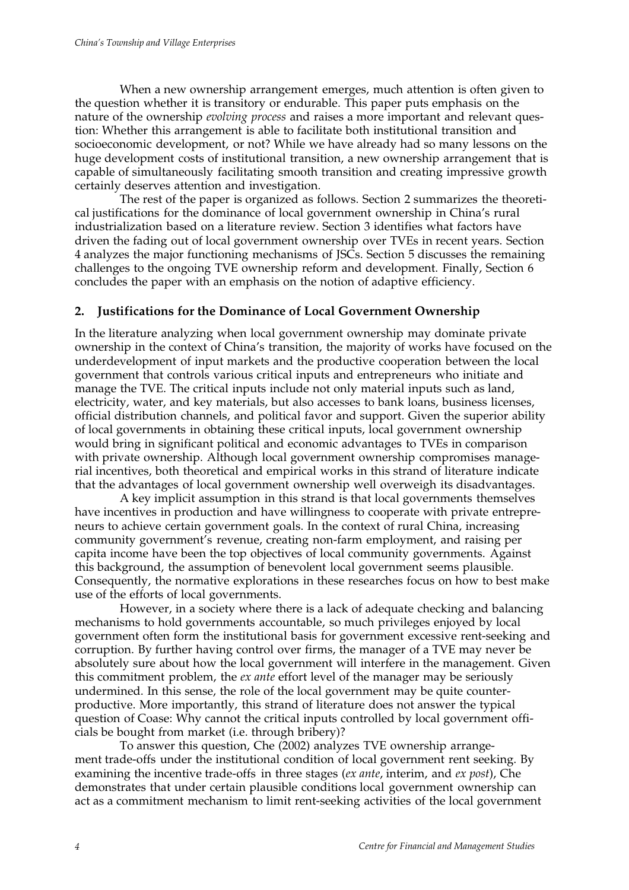When a new ownership arrangement emerges, much attention is often given to the question whether it is transitory or endurable. This paper puts emphasis on the nature of the ownership *evolving process* and raises a more important and relevant question: Whether this arrangement is able to facilitate both institutional transition and socioeconomic development, or not? While we have already had so many lessons on the huge development costs of institutional transition, a new ownership arrangement that is capable of simultaneously facilitating smooth transition and creating impressive growth certainly deserves attention and investigation.

The rest of the paper is organized as follows. Section 2 summarizes the theoretical justifications for the dominance of local government ownership in China's rural industrialization based on a literature review. Section 3 identifies what factors have driven the fading out of local government ownership over TVEs in recent years. Section 4 analyzes the major functioning mechanisms of JSCs. Section 5 discusses the remaining challenges to the ongoing TVE ownership reform and development. Finally, Section 6 concludes the paper with an emphasis on the notion of adaptive efficiency.

# **2. Justifications for the Dominance of Local Government Ownership**

In the literature analyzing when local government ownership may dominate private ownership in the context of China's transition, the majority of works have focused on the underdevelopment of input markets and the productive cooperation between the local government that controls various critical inputs and entrepreneurs who initiate and manage the TVE. The critical inputs include not only material inputs such as land, electricity, water, and key materials, but also accesses to bank loans, business licenses, official distribution channels, and political favor and support. Given the superior ability of local governments in obtaining these critical inputs, local government ownership would bring in significant political and economic advantages to TVEs in comparison with private ownership. Although local government ownership compromises managerial incentives, both theoretical and empirical works in this strand of literature indicate that the advantages of local government ownership well overweigh its disadvantages.

A key implicit assumption in this strand is that local governments themselves have incentives in production and have willingness to cooperate with private entrepreneurs to achieve certain government goals. In the context of rural China, increasing community government's revenue, creating non-farm employment, and raising per capita income have been the top objectives of local community governments. Against this background, the assumption of benevolent local government seems plausible. Consequently, the normative explorations in these researches focus on how to best make use of the efforts of local governments.

However, in a society where there is a lack of adequate checking and balancing mechanisms to hold governments accountable, so much privileges enjoyed by local government often form the institutional basis for government excessive rent-seeking and corruption. By further having control over firms, the manager of a TVE may never be absolutely sure about how the local government will interfere in the management. Given this commitment problem, the *ex ante* effort level of the manager may be seriously undermined. In this sense, the role of the local government may be quite counterproductive. More importantly, this strand of literature does not answer the typical question of Coase: Why cannot the critical inputs controlled by local government officials be bought from market (i.e. through bribery)?

To answer this question, Che (2002) analyzes TVE ownership arrangement trade-offs under the institutional condition of local government rent seeking. By examining the incentive trade-offs in three stages (*ex ante*, interim, and *ex post*), Che demonstrates that under certain plausible conditions local government ownership can act as a commitment mechanism to limit rent-seeking activities of the local government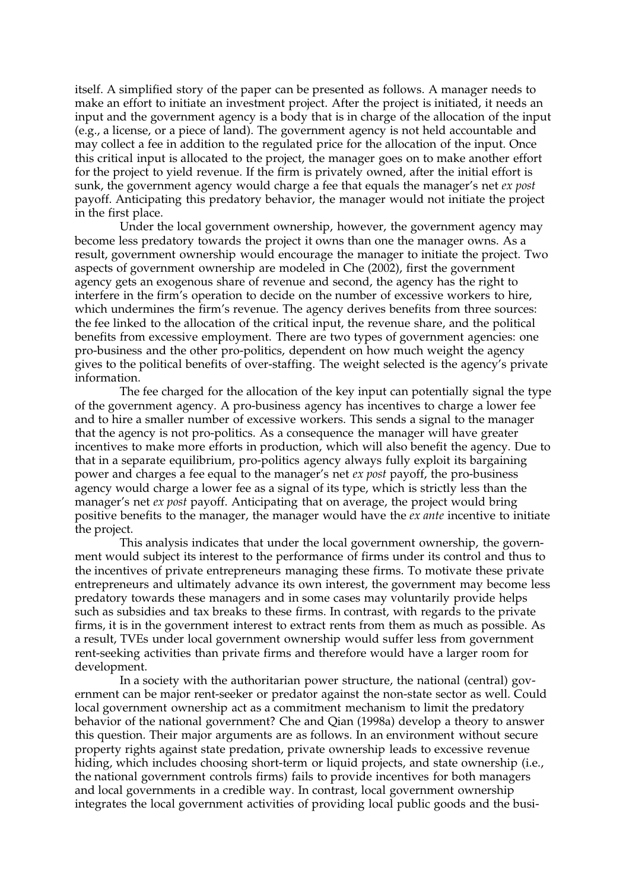itself. A simplified story of the paper can be presented as follows. A manager needs to make an effort to initiate an investment project. After the project is initiated, it needs an input and the government agency is a body that is in charge of the allocation of the input (e.g., a license, or a piece of land). The government agency is not held accountable and may collect a fee in addition to the regulated price for the allocation of the input. Once this critical input is allocated to the project, the manager goes on to make another effort for the project to yield revenue. If the firm is privately owned, after the initial effort is sunk, the government agency would charge a fee that equals the manager's net *ex post* payoff. Anticipating this predatory behavior, the manager would not initiate the project in the first place.

Under the local government ownership, however, the government agency may become less predatory towards the project it owns than one the manager owns. As a result, government ownership would encourage the manager to initiate the project. Two aspects of government ownership are modeled in Che (2002), first the government agency gets an exogenous share of revenue and second, the agency has the right to interfere in the firm's operation to decide on the number of excessive workers to hire, which undermines the firm's revenue. The agency derives benefits from three sources: the fee linked to the allocation of the critical input, the revenue share, and the political benefits from excessive employment. There are two types of government agencies: one pro-business and the other pro-politics, dependent on how much weight the agency gives to the political benefits of over-staffing. The weight selected is the agency's private information.

The fee charged for the allocation of the key input can potentially signal the type of the government agency. A pro-business agency has incentives to charge a lower fee and to hire a smaller number of excessive workers. This sends a signal to the manager that the agency is not pro-politics. As a consequence the manager will have greater incentives to make more efforts in production, which will also benefit the agency. Due to that in a separate equilibrium, pro-politics agency always fully exploit its bargaining power and charges a fee equal to the manager's net *ex post* payoff, the pro-business agency would charge a lower fee as a signal of its type, which is strictly less than the manager's net *ex post* payoff. Anticipating that on average, the project would bring positive benefits to the manager, the manager would have the *ex ante* incentive to initiate the project.

This analysis indicates that under the local government ownership, the government would subject its interest to the performance of firms under its control and thus to the incentives of private entrepreneurs managing these firms. To motivate these private entrepreneurs and ultimately advance its own interest, the government may become less predatory towards these managers and in some cases may voluntarily provide helps such as subsidies and tax breaks to these firms. In contrast, with regards to the private firms, it is in the government interest to extract rents from them as much as possible. As a result, TVEs under local government ownership would suffer less from government rent-seeking activities than private firms and therefore would have a larger room for development.

In a society with the authoritarian power structure, the national (central) government can be major rent-seeker or predator against the non-state sector as well. Could local government ownership act as a commitment mechanism to limit the predatory behavior of the national government? Che and Qian (1998a) develop a theory to answer this question. Their major arguments are as follows. In an environment without secure property rights against state predation, private ownership leads to excessive revenue hiding, which includes choosing short-term or liquid projects, and state ownership (i.e., the national government controls firms) fails to provide incentives for both managers and local governments in a credible way. In contrast, local government ownership integrates the local government activities of providing local public goods and the busi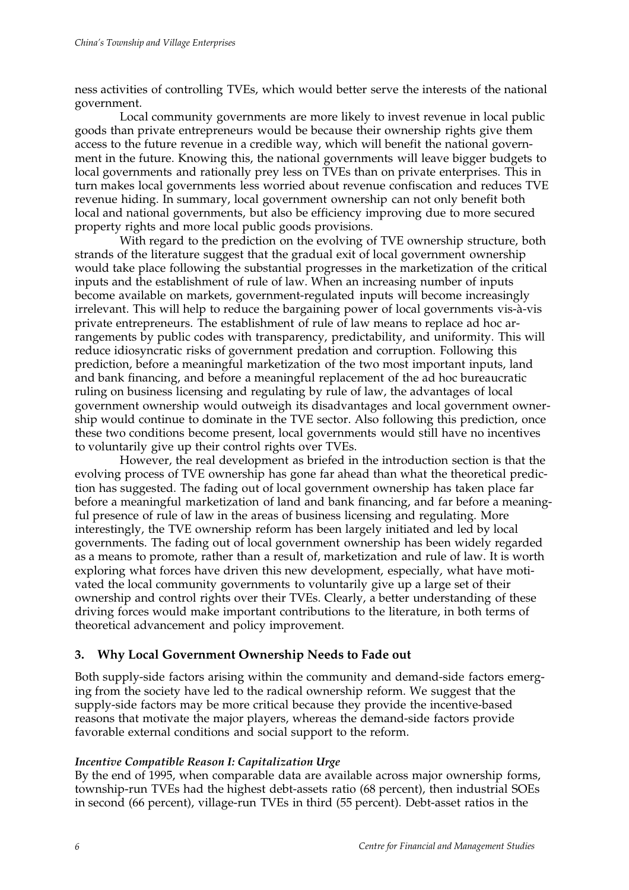ness activities of controlling TVEs, which would better serve the interests of the national government.

Local community governments are more likely to invest revenue in local public goods than private entrepreneurs would be because their ownership rights give them access to the future revenue in a credible way, which will benefit the national government in the future. Knowing this, the national governments will leave bigger budgets to local governments and rationally prey less on TVEs than on private enterprises. This in turn makes local governments less worried about revenue confiscation and reduces TVE revenue hiding. In summary, local government ownership can not only benefit both local and national governments, but also be efficiency improving due to more secured property rights and more local public goods provisions.

With regard to the prediction on the evolving of TVE ownership structure, both strands of the literature suggest that the gradual exit of local government ownership would take place following the substantial progresses in the marketization of the critical inputs and the establishment of rule of law. When an increasing number of inputs become available on markets, government-regulated inputs will become increasingly irrelevant. This will help to reduce the bargaining power of local governments vis-à-vis private entrepreneurs. The establishment of rule of law means to replace ad hoc arrangements by public codes with transparency, predictability, and uniformity. This will reduce idiosyncratic risks of government predation and corruption. Following this prediction, before a meaningful marketization of the two most important inputs, land and bank financing, and before a meaningful replacement of the ad hoc bureaucratic ruling on business licensing and regulating by rule of law, the advantages of local government ownership would outweigh its disadvantages and local government ownership would continue to dominate in the TVE sector. Also following this prediction, once these two conditions become present, local governments would still have no incentives to voluntarily give up their control rights over TVEs.

However, the real development as briefed in the introduction section is that the evolving process of TVE ownership has gone far ahead than what the theoretical prediction has suggested. The fading out of local government ownership has taken place far before a meaningful marketization of land and bank financing, and far before a meaningful presence of rule of law in the areas of business licensing and regulating. More interestingly, the TVE ownership reform has been largely initiated and led by local governments. The fading out of local government ownership has been widely regarded as a means to promote, rather than a result of, marketization and rule of law. It is worth exploring what forces have driven this new development, especially, what have motivated the local community governments to voluntarily give up a large set of their ownership and control rights over their TVEs. Clearly, a better understanding of these driving forces would make important contributions to the literature, in both terms of theoretical advancement and policy improvement.

# **3. Why Local Government Ownership Needs to Fade out**

Both supply-side factors arising within the community and demand-side factors emerging from the society have led to the radical ownership reform. We suggest that the supply-side factors may be more critical because they provide the incentive-based reasons that motivate the major players, whereas the demand-side factors provide favorable external conditions and social support to the reform.

## *Incentive Compatible Reason I: Capitalization Urge*

By the end of 1995, when comparable data are available across major ownership forms, township-run TVEs had the highest debt-assets ratio (68 percent), then industrial SOEs in second (66 percent), village-run TVEs in third (55 percent). Debt-asset ratios in the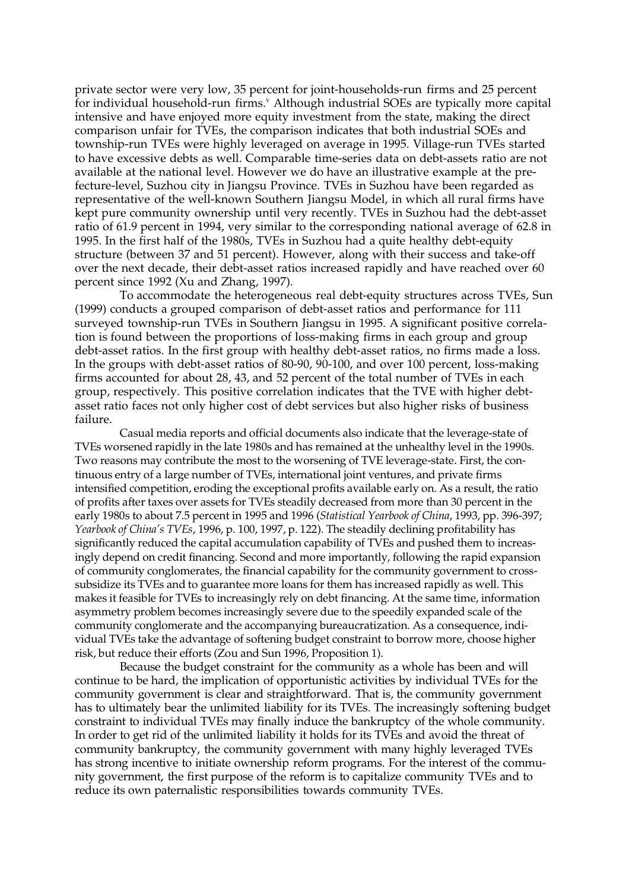private sector were very low, 35 percent for joint-households-run firms and 25 percent for individual household-run firms.<sup>v</sup> Although industrial SOEs are typically more capital intensive and have enjoyed more equity investment from the state, making the direct comparison unfair for TVEs, the comparison indicates that both industrial SOEs and township-run TVEs were highly leveraged on average in 1995. Village-run TVEs started to have excessive debts as well. Comparable time-series data on debt-assets ratio are not available at the national level. However we do have an illustrative example at the prefecture-level, Suzhou city in Jiangsu Province. TVEs in Suzhou have been regarded as representative of the well-known Southern Jiangsu Model, in which all rural firms have kept pure community ownership until very recently. TVEs in Suzhou had the debt-asset ratio of 61.9 percent in 1994, very similar to the corresponding national average of 62.8 in 1995. In the first half of the 1980s, TVEs in Suzhou had a quite healthy debt-equity structure (between 37 and 51 percent). However, along with their success and take-off over the next decade, their debt-asset ratios increased rapidly and have reached over 60 percent since 1992 (Xu and Zhang, 1997).

To accommodate the heterogeneous real debt-equity structures across TVEs, Sun (1999) conducts a grouped comparison of debt-asset ratios and performance for 111 surveyed township-run TVEs in Southern Jiangsu in 1995. A significant positive correlation is found between the proportions of loss-making firms in each group and group debt-asset ratios. In the first group with healthy debt-asset ratios, no firms made a loss. In the groups with debt-asset ratios of 80-90, 90-100, and over 100 percent, loss-making firms accounted for about 28, 43, and 52 percent of the total number of TVEs in each group, respectively. This positive correlation indicates that the TVE with higher debtasset ratio faces not only higher cost of debt services but also higher risks of business failure.

Casual media reports and official documents also indicate that the leverage-state of TVEs worsened rapidly in the late 1980s and has remained at the unhealthy level in the 1990s. Two reasons may contribute the most to the worsening of TVE leverage-state. First, the continuous entry of a large number of TVEs, international joint ventures, and private firms intensified competition, eroding the exceptional profits available early on. As a result, the ratio of profits after taxes over assets for TVEs steadily decreased from more than 30 percent in the early 1980s to about 7.5 percent in 1995 and 1996 (*Statistical Yearbook of China*, 1993, pp. 396-397; *Yearbook of China's TVEs*, 1996, p. 100, 1997, p. 122). The steadily declining profitability has significantly reduced the capital accumulation capability of TVEs and pushed them to increasingly depend on credit financing. Second and more importantly, following the rapid expansion of community conglomerates, the financial capability for the community government to crosssubsidize its TVEs and to guarantee more loans for them has increased rapidly as well. This makes it feasible for TVEs to increasingly rely on debt financing. At the same time, information asymmetry problem becomes increasingly severe due to the speedily expanded scale of the community conglomerate and the accompanying bureaucratization. As a consequence, individual TVEs take the advantage of softening budget constraint to borrow more, choose higher risk, but reduce their efforts (Zou and Sun 1996, Proposition 1).

Because the budget constraint for the community as a whole has been and will continue to be hard, the implication of opportunistic activities by individual TVEs for the community government is clear and straightforward. That is, the community government has to ultimately bear the unlimited liability for its TVEs. The increasingly softening budget constraint to individual TVEs may finally induce the bankruptcy of the whole community. In order to get rid of the unlimited liability it holds for its TVEs and avoid the threat of community bankruptcy, the community government with many highly leveraged TVEs has strong incentive to initiate ownership reform programs. For the interest of the community government, the first purpose of the reform is to capitalize community TVEs and to reduce its own paternalistic responsibilities towards community TVEs.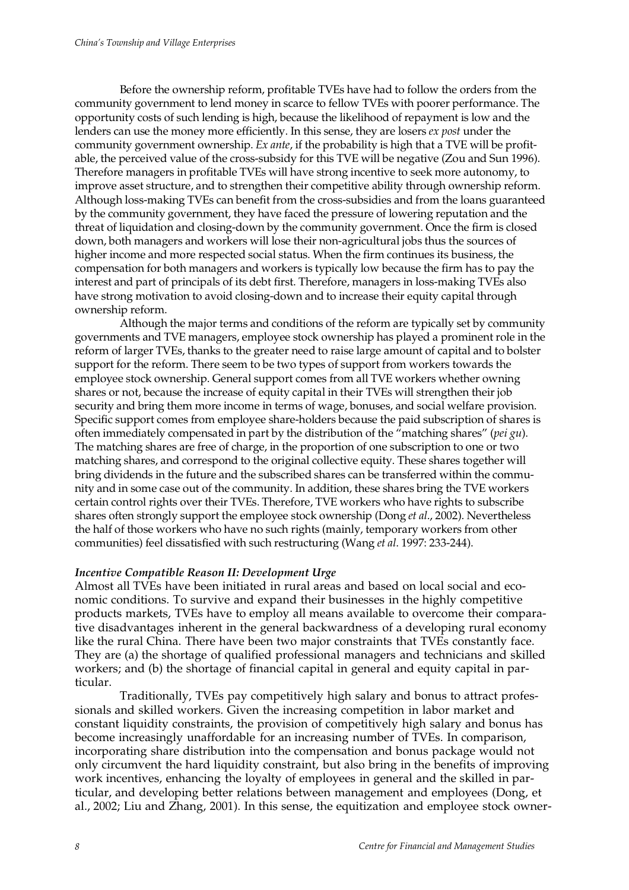Before the ownership reform, profitable TVEs have had to follow the orders from the community government to lend money in scarce to fellow TVEs with poorer performance. The opportunity costs of such lending is high, because the likelihood of repayment is low and the lenders can use the money more efficiently. In this sense, they are losers *ex post* under the community government ownership. *Ex ante*, if the probability is high that a TVE will be profitable, the perceived value of the cross-subsidy for this TVE will be negative (Zou and Sun 1996). Therefore managers in profitable TVEs will have strong incentive to seek more autonomy, to improve asset structure, and to strengthen their competitive ability through ownership reform. Although loss-making TVEs can benefit from the cross-subsidies and from the loans guaranteed by the community government, they have faced the pressure of lowering reputation and the threat of liquidation and closing-down by the community government. Once the firm is closed down, both managers and workers will lose their non-agricultural jobs thus the sources of higher income and more respected social status. When the firm continues its business, the compensation for both managers and workers is typically low because the firm has to pay the interest and part of principals of its debt first. Therefore, managers in loss-making TVEs also have strong motivation to avoid closing-down and to increase their equity capital through ownership reform.

Although the major terms and conditions of the reform are typically set by community governments and TVE managers, employee stock ownership has played a prominent role in the reform of larger TVEs, thanks to the greater need to raise large amount of capital and to bolster support for the reform. There seem to be two types of support from workers towards the employee stock ownership. General support comes from all TVE workers whether owning shares or not, because the increase of equity capital in their TVEs will strengthen their job security and bring them more income in terms of wage, bonuses, and social welfare provision. Specific support comes from employee share-holders because the paid subscription of shares is often immediately compensated in part by the distribution of the "matching shares" (*pei gu*). The matching shares are free of charge, in the proportion of one subscription to one or two matching shares, and correspond to the original collective equity. These shares together will bring dividends in the future and the subscribed shares can be transferred within the community and in some case out of the community. In addition, these shares bring the TVE workers certain control rights over their TVEs. Therefore, TVE workers who have rights to subscribe shares often strongly support the employee stock ownership (Dong *et al*., 2002). Nevertheless the half of those workers who have no such rights (mainly, temporary workers from other communities) feel dissatisfied with such restructuring (Wang *et al*. 1997: 233-244).

## *Incentive Compatible Reason II: Development Urge*

Almost all TVEs have been initiated in rural areas and based on local social and economic conditions. To survive and expand their businesses in the highly competitive products markets, TVEs have to employ all means available to overcome their comparative disadvantages inherent in the general backwardness of a developing rural economy like the rural China. There have been two major constraints that TVEs constantly face. They are (a) the shortage of qualified professional managers and technicians and skilled workers; and (b) the shortage of financial capital in general and equity capital in particular.

Traditionally, TVEs pay competitively high salary and bonus to attract professionals and skilled workers. Given the increasing competition in labor market and constant liquidity constraints, the provision of competitively high salary and bonus has become increasingly unaffordable for an increasing number of TVEs. In comparison, incorporating share distribution into the compensation and bonus package would not only circumvent the hard liquidity constraint, but also bring in the benefits of improving work incentives, enhancing the loyalty of employees in general and the skilled in particular, and developing better relations between management and employees (Dong, et al., 2002; Liu and Zhang, 2001). In this sense, the equitization and employee stock owner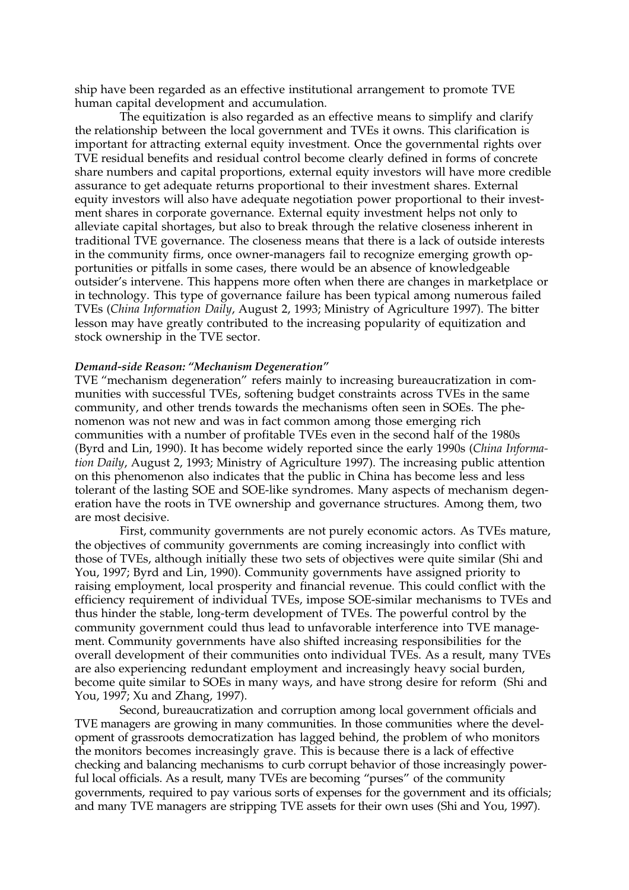ship have been regarded as an effective institutional arrangement to promote TVE human capital development and accumulation.

The equitization is also regarded as an effective means to simplify and clarify the relationship between the local government and TVEs it owns. This clarification is important for attracting external equity investment. Once the governmental rights over TVE residual benefits and residual control become clearly defined in forms of concrete share numbers and capital proportions, external equity investors will have more credible assurance to get adequate returns proportional to their investment shares. External equity investors will also have adequate negotiation power proportional to their investment shares in corporate governance. External equity investment helps not only to alleviate capital shortages, but also to break through the relative closeness inherent in traditional TVE governance. The closeness means that there is a lack of outside interests in the community firms, once owner-managers fail to recognize emerging growth opportunities or pitfalls in some cases, there would be an absence of knowledgeable outsider's intervene. This happens more often when there are changes in marketplace or in technology. This type of governance failure has been typical among numerous failed TVEs (*China Information Daily*, August 2, 1993; Ministry of Agriculture 1997). The bitter lesson may have greatly contributed to the increasing popularity of equitization and stock ownership in the TVE sector.

#### *Demand-side Reason: "Mechanism Degeneration"*

TVE "mechanism degeneration" refers mainly to increasing bureaucratization in communities with successful TVEs, softening budget constraints across TVEs in the same community, and other trends towards the mechanisms often seen in SOEs. The phenomenon was not new and was in fact common among those emerging rich communities with a number of profitable TVEs even in the second half of the 1980s (Byrd and Lin, 1990). It has become widely reported since the early 1990s (*China Information Daily*, August 2, 1993; Ministry of Agriculture 1997). The increasing public attention on this phenomenon also indicates that the public in China has become less and less tolerant of the lasting SOE and SOE-like syndromes. Many aspects of mechanism degeneration have the roots in TVE ownership and governance structures. Among them, two are most decisive.

First, community governments are not purely economic actors. As TVEs mature, the objectives of community governments are coming increasingly into conflict with those of TVEs, although initially these two sets of objectives were quite similar (Shi and You, 1997; Byrd and Lin, 1990). Community governments have assigned priority to raising employment, local prosperity and financial revenue. This could conflict with the efficiency requirement of individual TVEs, impose SOE-similar mechanisms to TVEs and thus hinder the stable, long-term development of TVEs. The powerful control by the community government could thus lead to unfavorable interference into TVE management. Community governments have also shifted increasing responsibilities for the overall development of their communities onto individual TVEs. As a result, many TVEs are also experiencing redundant employment and increasingly heavy social burden, become quite similar to SOEs in many ways, and have strong desire for reform (Shi and You, 1997; Xu and Zhang, 1997).

Second, bureaucratization and corruption among local government officials and TVE managers are growing in many communities. In those communities where the development of grassroots democratization has lagged behind, the problem of who monitors the monitors becomes increasingly grave. This is because there is a lack of effective checking and balancing mechanisms to curb corrupt behavior of those increasingly powerful local officials. As a result, many TVEs are becoming "purses" of the community governments, required to pay various sorts of expenses for the government and its officials; and many TVE managers are stripping TVE assets for their own uses (Shi and You, 1997).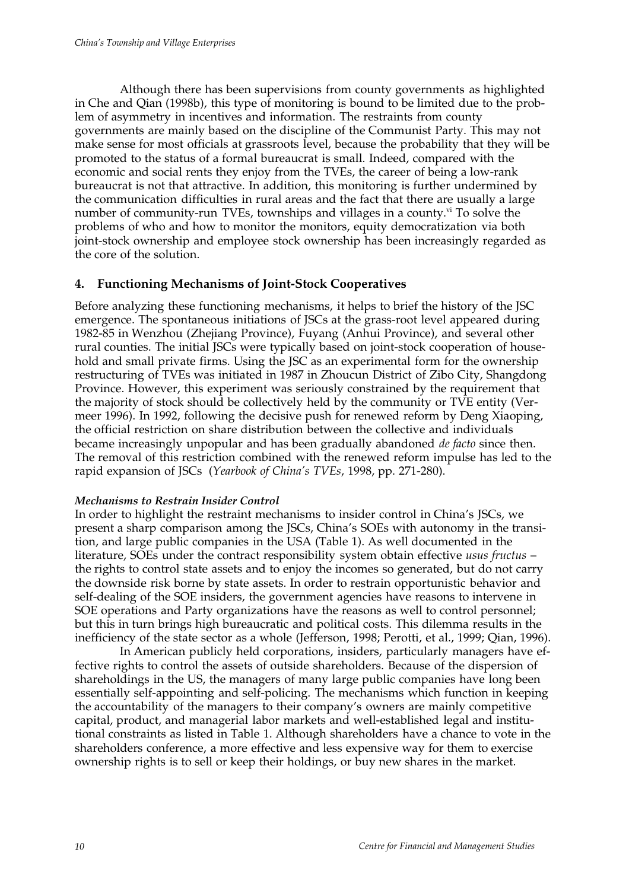Although there has been supervisions from county governments as highlighted in Che and Qian (1998b), this type of monitoring is bound to be limited due to the problem of asymmetry in incentives and information. The restraints from county governments are mainly based on the discipline of the Communist Party. This may not make sense for most officials at grassroots level, because the probability that they will be promoted to the status of a formal bureaucrat is small. Indeed, compared with the economic and social rents they enjoy from the TVEs, the career of being a low-rank bureaucrat is not that attractive. In addition, this monitoring is further undermined by the communication difficulties in rural areas and the fact that there are usually a large number of community-run TVEs, townships and villages in a county. $\dot{v}$  To solve the problems of who and how to monitor the monitors, equity democratization via both joint-stock ownership and employee stock ownership has been increasingly regarded as the core of the solution.

# **4. Functioning Mechanisms of Joint-Stock Cooperatives**

Before analyzing these functioning mechanisms, it helps to brief the history of the JSC emergence. The spontaneous initiations of JSCs at the grass-root level appeared during 1982-85 in Wenzhou (Zhejiang Province), Fuyang (Anhui Province), and several other rural counties. The initial JSCs were typically based on joint-stock cooperation of household and small private firms. Using the JSC as an experimental form for the ownership restructuring of TVEs was initiated in 1987 in Zhoucun District of Zibo City, Shangdong Province. However, this experiment was seriously constrained by the requirement that the majority of stock should be collectively held by the community or TVE entity (Vermeer 1996). In 1992, following the decisive push for renewed reform by Deng Xiaoping, the official restriction on share distribution between the collective and individuals became increasingly unpopular and has been gradually abandoned *de facto* since then. The removal of this restriction combined with the renewed reform impulse has led to the rapid expansion of JSCs (*Yearbook of China's TVEs*, 1998, pp. 271-280).

## *Mechanisms to Restrain Insider Control*

In order to highlight the restraint mechanisms to insider control in China's JSCs, we present a sharp comparison among the JSCs, China's SOEs with autonomy in the transition, and large public companies in the USA (Table 1). As well documented in the literature, SOEs under the contract responsibility system obtain effective *usus fructus* – the rights to control state assets and to enjoy the incomes so generated, but do not carry the downside risk borne by state assets. In order to restrain opportunistic behavior and self-dealing of the SOE insiders, the government agencies have reasons to intervene in SOE operations and Party organizations have the reasons as well to control personnel; but this in turn brings high bureaucratic and political costs. This dilemma results in the inefficiency of the state sector as a whole (Jefferson, 1998; Perotti, et al., 1999; Qian, 1996).

In American publicly held corporations, insiders, particularly managers have effective rights to control the assets of outside shareholders. Because of the dispersion of shareholdings in the US, the managers of many large public companies have long been essentially self-appointing and self-policing. The mechanisms which function in keeping the accountability of the managers to their company's owners are mainly competitive capital, product, and managerial labor markets and well-established legal and institutional constraints as listed in Table 1. Although shareholders have a chance to vote in the shareholders conference, a more effective and less expensive way for them to exercise ownership rights is to sell or keep their holdings, or buy new shares in the market.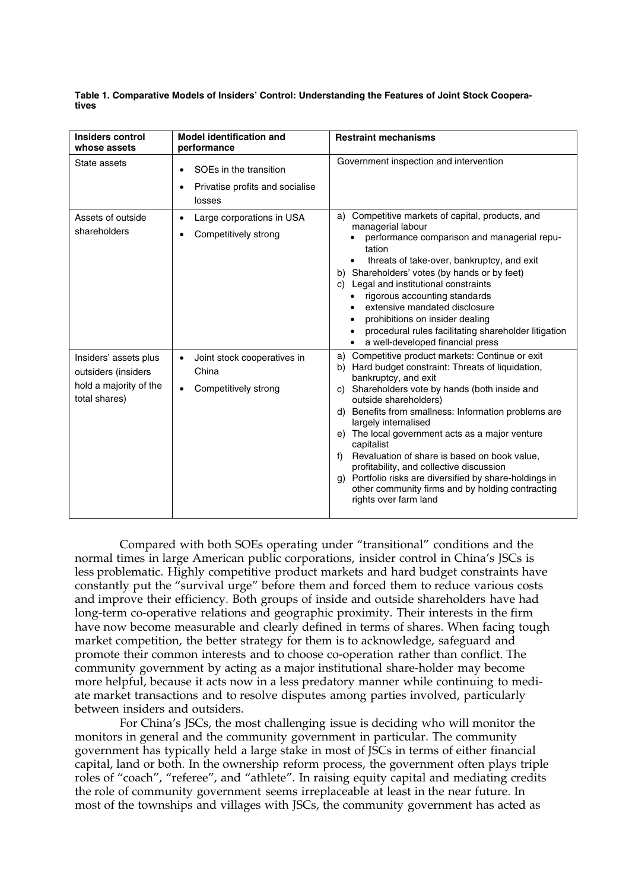**Table 1. Comparative Models of Insiders' Control: Understanding the Features of Joint Stock Cooperatives**

| Insiders control<br>whose assets                                                        | <b>Model identification and</b><br>performance                                                | <b>Restraint mechanisms</b>                                                                                                                                                                                                                                                                                                                                                                                                                                                                                                                                                                                      |
|-----------------------------------------------------------------------------------------|-----------------------------------------------------------------------------------------------|------------------------------------------------------------------------------------------------------------------------------------------------------------------------------------------------------------------------------------------------------------------------------------------------------------------------------------------------------------------------------------------------------------------------------------------------------------------------------------------------------------------------------------------------------------------------------------------------------------------|
| State assets                                                                            | SOEs in the transition<br>$\bullet$<br>Privatise profits and socialise<br>$\bullet$<br>losses | Government inspection and intervention                                                                                                                                                                                                                                                                                                                                                                                                                                                                                                                                                                           |
| Assets of outside<br>shareholders                                                       | Large corporations in USA<br>$\bullet$<br>Competitively strong<br>$\bullet$                   | Competitive markets of capital, products, and<br>a)<br>managerial labour<br>performance comparison and managerial repu-<br>tation<br>threats of take-over, bankruptcy, and exit<br>b) Shareholders' votes (by hands or by feet)<br>c) Legal and institutional constraints<br>rigorous accounting standards<br>$\bullet$<br>extensive mandated disclosure<br>prohibitions on insider dealing<br>procedural rules facilitating shareholder litigation<br>a well-developed financial press<br>$\bullet$                                                                                                             |
| Insiders' assets plus<br>outsiders (insiders<br>hold a majority of the<br>total shares) | Joint stock cooperatives in<br>$\bullet$<br>China<br>Competitively strong<br>$\bullet$        | Competitive product markets: Continue or exit<br>a)<br>Hard budget constraint: Threats of liquidation,<br>b)<br>bankruptcy, and exit<br>Shareholders vote by hands (both inside and<br>C)<br>outside shareholders)<br>d) Benefits from smallness: Information problems are<br>largely internalised<br>The local government acts as a major venture<br>e)<br>capitalist<br>Revaluation of share is based on book value.<br>f)<br>profitability, and collective discussion<br>g) Portfolio risks are diversified by share-holdings in<br>other community firms and by holding contracting<br>rights over farm land |

Compared with both SOEs operating under "transitional" conditions and the normal times in large American public corporations, insider control in China's JSCs is less problematic. Highly competitive product markets and hard budget constraints have constantly put the "survival urge" before them and forced them to reduce various costs and improve their efficiency. Both groups of inside and outside shareholders have had long-term co-operative relations and geographic proximity. Their interests in the firm have now become measurable and clearly defined in terms of shares. When facing tough market competition, the better strategy for them is to acknowledge, safeguard and promote their common interests and to choose co-operation rather than conflict. The community government by acting as a major institutional share-holder may become more helpful, because it acts now in a less predatory manner while continuing to mediate market transactions and to resolve disputes among parties involved, particularly between insiders and outsiders.

For China's JSCs, the most challenging issue is deciding who will monitor the monitors in general and the community government in particular. The community government has typically held a large stake in most of JSCs in terms of either financial capital, land or both. In the ownership reform process, the government often plays triple roles of "coach", "referee", and "athlete". In raising equity capital and mediating credits the role of community government seems irreplaceable at least in the near future. In most of the townships and villages with JSCs, the community government has acted as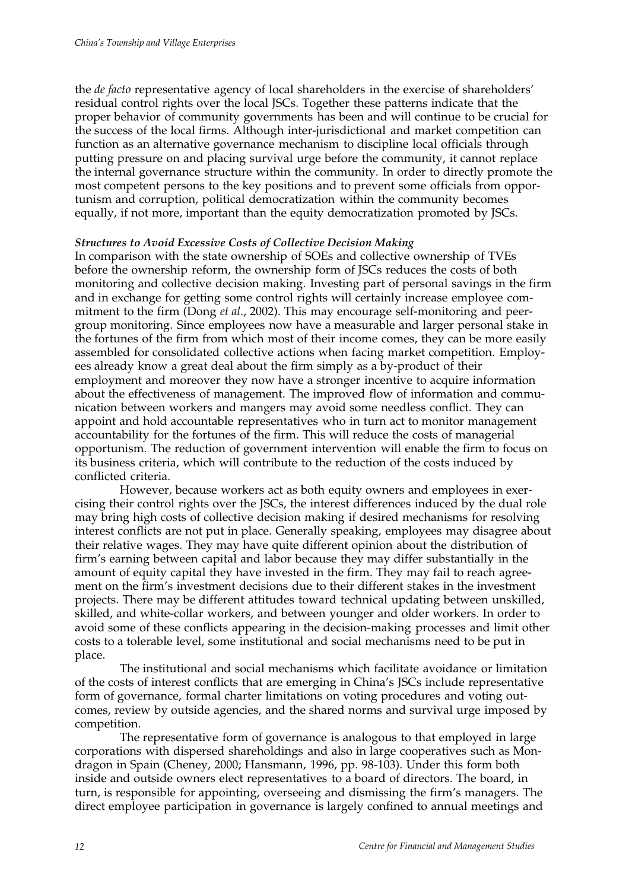the *de facto* representative agency of local shareholders in the exercise of shareholders' residual control rights over the local JSCs. Together these patterns indicate that the proper behavior of community governments has been and will continue to be crucial for the success of the local firms. Although inter-jurisdictional and market competition can function as an alternative governance mechanism to discipline local officials through putting pressure on and placing survival urge before the community, it cannot replace the internal governance structure within the community. In order to directly promote the most competent persons to the key positions and to prevent some officials from opportunism and corruption, political democratization within the community becomes equally, if not more, important than the equity democratization promoted by JSCs.

## *Structures to Avoid Excessive Costs of Collective Decision Making*

In comparison with the state ownership of SOEs and collective ownership of TVEs before the ownership reform, the ownership form of JSCs reduces the costs of both monitoring and collective decision making. Investing part of personal savings in the firm and in exchange for getting some control rights will certainly increase employee commitment to the firm (Dong *et al*., 2002). This may encourage self-monitoring and peergroup monitoring. Since employees now have a measurable and larger personal stake in the fortunes of the firm from which most of their income comes, they can be more easily assembled for consolidated collective actions when facing market competition. Employees already know a great deal about the firm simply as a by-product of their employment and moreover they now have a stronger incentive to acquire information about the effectiveness of management. The improved flow of information and communication between workers and mangers may avoid some needless conflict. They can appoint and hold accountable representatives who in turn act to monitor management accountability for the fortunes of the firm. This will reduce the costs of managerial opportunism. The reduction of government intervention will enable the firm to focus on its business criteria, which will contribute to the reduction of the costs induced by conflicted criteria.

However, because workers act as both equity owners and employees in exercising their control rights over the JSCs, the interest differences induced by the dual role may bring high costs of collective decision making if desired mechanisms for resolving interest conflicts are not put in place. Generally speaking, employees may disagree about their relative wages. They may have quite different opinion about the distribution of firm's earning between capital and labor because they may differ substantially in the amount of equity capital they have invested in the firm. They may fail to reach agreement on the firm's investment decisions due to their different stakes in the investment projects. There may be different attitudes toward technical updating between unskilled, skilled, and white-collar workers, and between younger and older workers. In order to avoid some of these conflicts appearing in the decision-making processes and limit other costs to a tolerable level, some institutional and social mechanisms need to be put in place.

The institutional and social mechanisms which facilitate avoidance or limitation of the costs of interest conflicts that are emerging in China's JSCs include representative form of governance, formal charter limitations on voting procedures and voting outcomes, review by outside agencies, and the shared norms and survival urge imposed by competition.

The representative form of governance is analogous to that employed in large corporations with dispersed shareholdings and also in large cooperatives such as Mondragon in Spain (Cheney, 2000; Hansmann, 1996, pp. 98-103). Under this form both inside and outside owners elect representatives to a board of directors. The board, in turn, is responsible for appointing, overseeing and dismissing the firm's managers. The direct employee participation in governance is largely confined to annual meetings and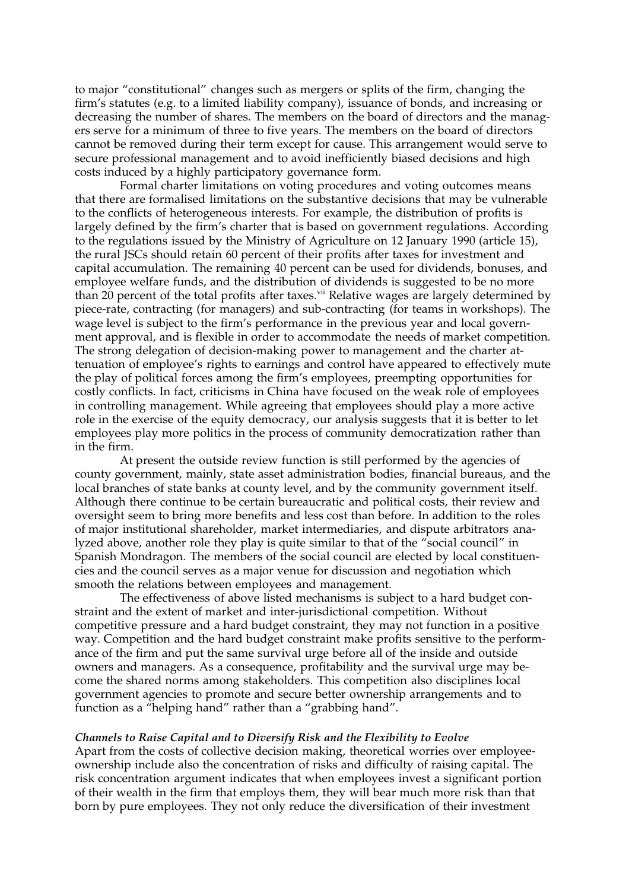to major "constitutional" changes such as mergers or splits of the firm, changing the firm's statutes (e.g. to a limited liability company), issuance of bonds, and increasing or decreasing the number of shares. The members on the board of directors and the managers serve for a minimum of three to five years. The members on the board of directors cannot be removed during their term except for cause. This arrangement would serve to secure professional management and to avoid inefficiently biased decisions and high costs induced by a highly participatory governance form.

Formal charter limitations on voting procedures and voting outcomes means that there are formalised limitations on the substantive decisions that may be vulnerable to the conflicts of heterogeneous interests. For example, the distribution of profits is largely defined by the firm's charter that is based on government regulations. According to the regulations issued by the Ministry of Agriculture on 12 January 1990 (article 15), the rural JSCs should retain 60 percent of their profits after taxes for investment and capital accumulation. The remaining 40 percent can be used for dividends, bonuses, and employee welfare funds, and the distribution of dividends is suggested to be no more than 20 percent of the total profits after taxes.<sup>vii</sup> Relative wages are largely determined by piece-rate, contracting (for managers) and sub-contracting (for teams in workshops). The wage level is subject to the firm's performance in the previous year and local government approval, and is flexible in order to accommodate the needs of market competition. The strong delegation of decision-making power to management and the charter attenuation of employee's rights to earnings and control have appeared to effectively mute the play of political forces among the firm's employees, preempting opportunities for costly conflicts. In fact, criticisms in China have focused on the weak role of employees in controlling management. While agreeing that employees should play a more active role in the exercise of the equity democracy, our analysis suggests that it is better to let employees play more politics in the process of community democratization rather than in the firm.

At present the outside review function is still performed by the agencies of county government, mainly, state asset administration bodies, financial bureaus, and the local branches of state banks at county level, and by the community government itself. Although there continue to be certain bureaucratic and political costs, their review and oversight seem to bring more benefits and less cost than before. In addition to the roles of major institutional shareholder, market intermediaries, and dispute arbitrators analyzed above, another role they play is quite similar to that of the "social council" in Spanish Mondragon. The members of the social council are elected by local constituencies and the council serves as a major venue for discussion and negotiation which smooth the relations between employees and management.

The effectiveness of above listed mechanisms is subject to a hard budget constraint and the extent of market and inter-jurisdictional competition. Without competitive pressure and a hard budget constraint, they may not function in a positive way. Competition and the hard budget constraint make profits sensitive to the performance of the firm and put the same survival urge before all of the inside and outside owners and managers. As a consequence, profitability and the survival urge may become the shared norms among stakeholders. This competition also disciplines local government agencies to promote and secure better ownership arrangements and to function as a "helping hand" rather than a "grabbing hand".

#### *Channels to Raise Capital and to Diversify Risk and the Flexibility to Evolve*

Apart from the costs of collective decision making, theoretical worries over employeeownership include also the concentration of risks and difficulty of raising capital. The risk concentration argument indicates that when employees invest a significant portion of their wealth in the firm that employs them, they will bear much more risk than that born by pure employees. They not only reduce the diversification of their investment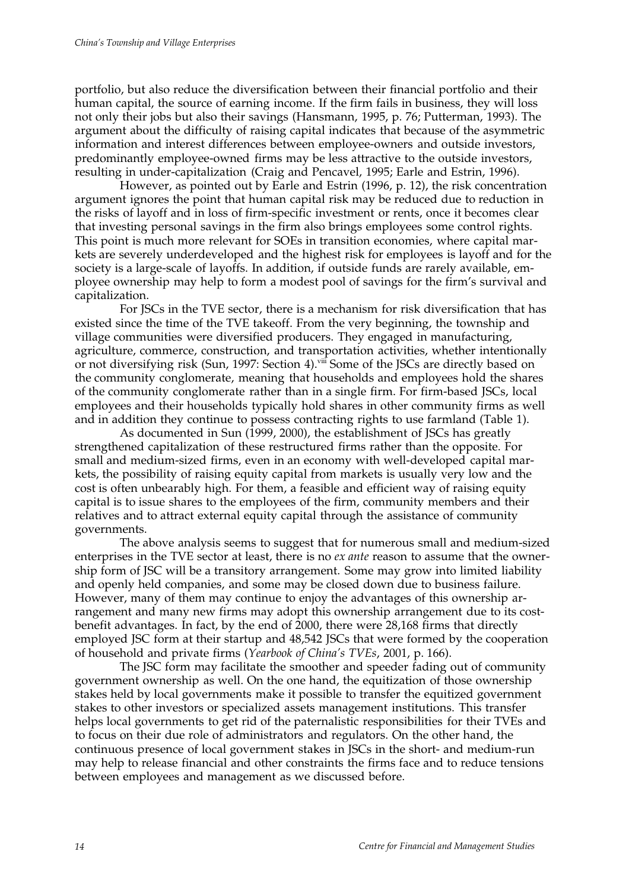portfolio, but also reduce the diversification between their financial portfolio and their human capital, the source of earning income. If the firm fails in business, they will loss not only their jobs but also their savings (Hansmann, 1995, p. 76; Putterman, 1993). The argument about the difficulty of raising capital indicates that because of the asymmetric information and interest differences between employee-owners and outside investors, predominantly employee-owned firms may be less attractive to the outside investors, resulting in under-capitalization (Craig and Pencavel, 1995; Earle and Estrin, 1996).

However, as pointed out by Earle and Estrin (1996, p. 12), the risk concentration argument ignores the point that human capital risk may be reduced due to reduction in the risks of layoff and in loss of firm-specific investment or rents, once it becomes clear that investing personal savings in the firm also brings employees some control rights. This point is much more relevant for SOEs in transition economies, where capital markets are severely underdeveloped and the highest risk for employees is layoff and for the society is a large-scale of layoffs. In addition, if outside funds are rarely available, employee ownership may help to form a modest pool of savings for the firm's survival and capitalization.

For JSCs in the TVE sector, there is a mechanism for risk diversification that has existed since the time of the TVE takeoff. From the very beginning, the township and village communities were diversified producers. They engaged in manufacturing, agriculture, commerce, construction, and transportation activities, whether intentionally or not diversifying risk (Sun, 1997: Section 4).<sup>viii</sup> Some of the JSCs are directly based on the community conglomerate, meaning that households and employees hold the shares of the community conglomerate rather than in a single firm. For firm-based JSCs, local employees and their households typically hold shares in other community firms as well and in addition they continue to possess contracting rights to use farmland (Table 1).

As documented in Sun (1999, 2000), the establishment of JSCs has greatly strengthened capitalization of these restructured firms rather than the opposite. For small and medium-sized firms, even in an economy with well-developed capital markets, the possibility of raising equity capital from markets is usually very low and the cost is often unbearably high. For them, a feasible and efficient way of raising equity capital is to issue shares to the employees of the firm, community members and their relatives and to attract external equity capital through the assistance of community governments.

The above analysis seems to suggest that for numerous small and medium-sized enterprises in the TVE sector at least, there is no *ex ante* reason to assume that the ownership form of JSC will be a transitory arrangement. Some may grow into limited liability and openly held companies, and some may be closed down due to business failure. However, many of them may continue to enjoy the advantages of this ownership arrangement and many new firms may adopt this ownership arrangement due to its costbenefit advantages. In fact, by the end of 2000, there were 28,168 firms that directly employed JSC form at their startup and 48,542 JSCs that were formed by the cooperation of household and private firms (*Yearbook of China's TVEs*, 2001, p. 166).

The JSC form may facilitate the smoother and speeder fading out of community government ownership as well. On the one hand, the equitization of those ownership stakes held by local governments make it possible to transfer the equitized government stakes to other investors or specialized assets management institutions. This transfer helps local governments to get rid of the paternalistic responsibilities for their TVEs and to focus on their due role of administrators and regulators. On the other hand, the continuous presence of local government stakes in JSCs in the short- and medium-run may help to release financial and other constraints the firms face and to reduce tensions between employees and management as we discussed before.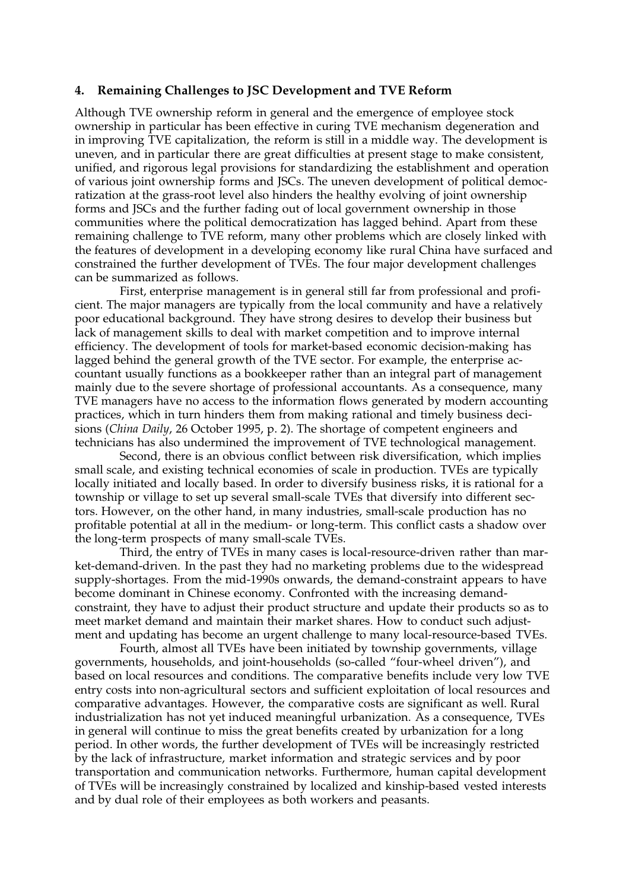### **4. Remaining Challenges to JSC Development and TVE Reform**

Although TVE ownership reform in general and the emergence of employee stock ownership in particular has been effective in curing TVE mechanism degeneration and in improving TVE capitalization, the reform is still in a middle way. The development is uneven, and in particular there are great difficulties at present stage to make consistent, unified, and rigorous legal provisions for standardizing the establishment and operation of various joint ownership forms and JSCs. The uneven development of political democratization at the grass-root level also hinders the healthy evolving of joint ownership forms and JSCs and the further fading out of local government ownership in those communities where the political democratization has lagged behind. Apart from these remaining challenge to TVE reform, many other problems which are closely linked with the features of development in a developing economy like rural China have surfaced and constrained the further development of TVEs. The four major development challenges can be summarized as follows.

First, enterprise management is in general still far from professional and proficient. The major managers are typically from the local community and have a relatively poor educational background. They have strong desires to develop their business but lack of management skills to deal with market competition and to improve internal efficiency. The development of tools for market-based economic decision-making has lagged behind the general growth of the TVE sector. For example, the enterprise accountant usually functions as a bookkeeper rather than an integral part of management mainly due to the severe shortage of professional accountants. As a consequence, many TVE managers have no access to the information flows generated by modern accounting practices, which in turn hinders them from making rational and timely business decisions (*China Daily*, 26 October 1995, p. 2). The shortage of competent engineers and technicians has also undermined the improvement of TVE technological management.

Second, there is an obvious conflict between risk diversification, which implies small scale, and existing technical economies of scale in production. TVEs are typically locally initiated and locally based. In order to diversify business risks, it is rational for a township or village to set up several small-scale TVEs that diversify into different sectors. However, on the other hand, in many industries, small-scale production has no profitable potential at all in the medium- or long-term. This conflict casts a shadow over the long-term prospects of many small-scale TVEs.

Third, the entry of TVEs in many cases is local-resource-driven rather than market-demand-driven. In the past they had no marketing problems due to the widespread supply-shortages. From the mid-1990s onwards, the demand-constraint appears to have become dominant in Chinese economy. Confronted with the increasing demandconstraint, they have to adjust their product structure and update their products so as to meet market demand and maintain their market shares. How to conduct such adjustment and updating has become an urgent challenge to many local-resource-based TVEs.

Fourth, almost all TVEs have been initiated by township governments, village governments, households, and joint-households (so-called "four-wheel driven"), and based on local resources and conditions. The comparative benefits include very low TVE entry costs into non-agricultural sectors and sufficient exploitation of local resources and comparative advantages. However, the comparative costs are significant as well. Rural industrialization has not yet induced meaningful urbanization. As a consequence, TVEs in general will continue to miss the great benefits created by urbanization for a long period. In other words, the further development of TVEs will be increasingly restricted by the lack of infrastructure, market information and strategic services and by poor transportation and communication networks. Furthermore, human capital development of TVEs will be increasingly constrained by localized and kinship-based vested interests and by dual role of their employees as both workers and peasants.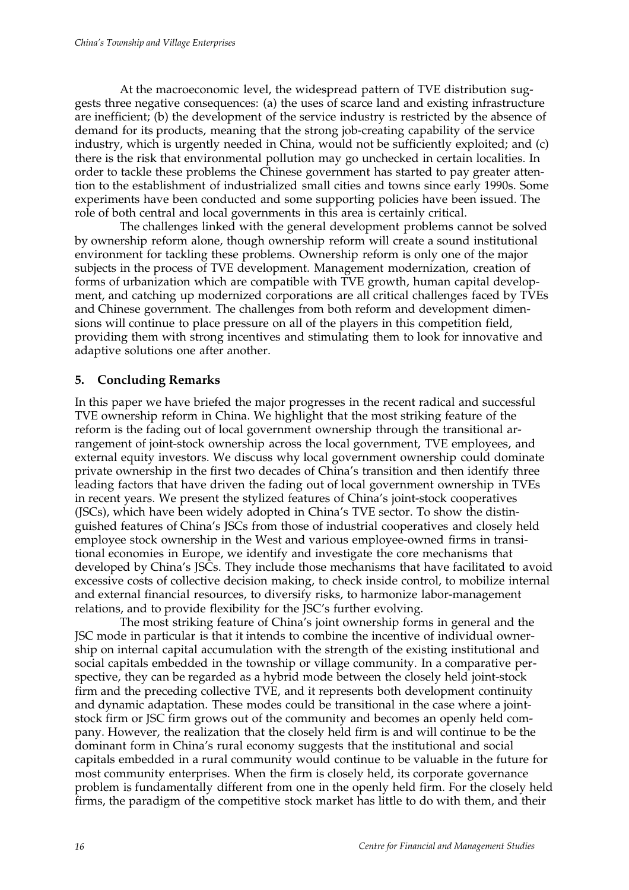At the macroeconomic level, the widespread pattern of TVE distribution suggests three negative consequences: (a) the uses of scarce land and existing infrastructure are inefficient; (b) the development of the service industry is restricted by the absence of demand for its products, meaning that the strong job-creating capability of the service industry, which is urgently needed in China, would not be sufficiently exploited; and (c) there is the risk that environmental pollution may go unchecked in certain localities. In order to tackle these problems the Chinese government has started to pay greater attention to the establishment of industrialized small cities and towns since early 1990s. Some experiments have been conducted and some supporting policies have been issued. The role of both central and local governments in this area is certainly critical.

The challenges linked with the general development problems cannot be solved by ownership reform alone, though ownership reform will create a sound institutional environment for tackling these problems. Ownership reform is only one of the major subjects in the process of TVE development. Management modernization, creation of forms of urbanization which are compatible with TVE growth, human capital development, and catching up modernized corporations are all critical challenges faced by TVEs and Chinese government. The challenges from both reform and development dimensions will continue to place pressure on all of the players in this competition field, providing them with strong incentives and stimulating them to look for innovative and adaptive solutions one after another.

## **5. Concluding Remarks**

In this paper we have briefed the major progresses in the recent radical and successful TVE ownership reform in China. We highlight that the most striking feature of the reform is the fading out of local government ownership through the transitional arrangement of joint-stock ownership across the local government, TVE employees, and external equity investors. We discuss why local government ownership could dominate private ownership in the first two decades of China's transition and then identify three leading factors that have driven the fading out of local government ownership in TVEs in recent years. We present the stylized features of China's joint-stock cooperatives (JSCs), which have been widely adopted in China's TVE sector. To show the distinguished features of China's JSCs from those of industrial cooperatives and closely held employee stock ownership in the West and various employee-owned firms in transitional economies in Europe, we identify and investigate the core mechanisms that developed by China's JSCs. They include those mechanisms that have facilitated to avoid excessive costs of collective decision making, to check inside control, to mobilize internal and external financial resources, to diversify risks, to harmonize labor-management relations, and to provide flexibility for the JSC's further evolving.

The most striking feature of China's joint ownership forms in general and the JSC mode in particular is that it intends to combine the incentive of individual ownership on internal capital accumulation with the strength of the existing institutional and social capitals embedded in the township or village community. In a comparative perspective, they can be regarded as a hybrid mode between the closely held joint-stock firm and the preceding collective TVE, and it represents both development continuity and dynamic adaptation. These modes could be transitional in the case where a jointstock firm or JSC firm grows out of the community and becomes an openly held company. However, the realization that the closely held firm is and will continue to be the dominant form in China's rural economy suggests that the institutional and social capitals embedded in a rural community would continue to be valuable in the future for most community enterprises. When the firm is closely held, its corporate governance problem is fundamentally different from one in the openly held firm. For the closely held firms, the paradigm of the competitive stock market has little to do with them, and their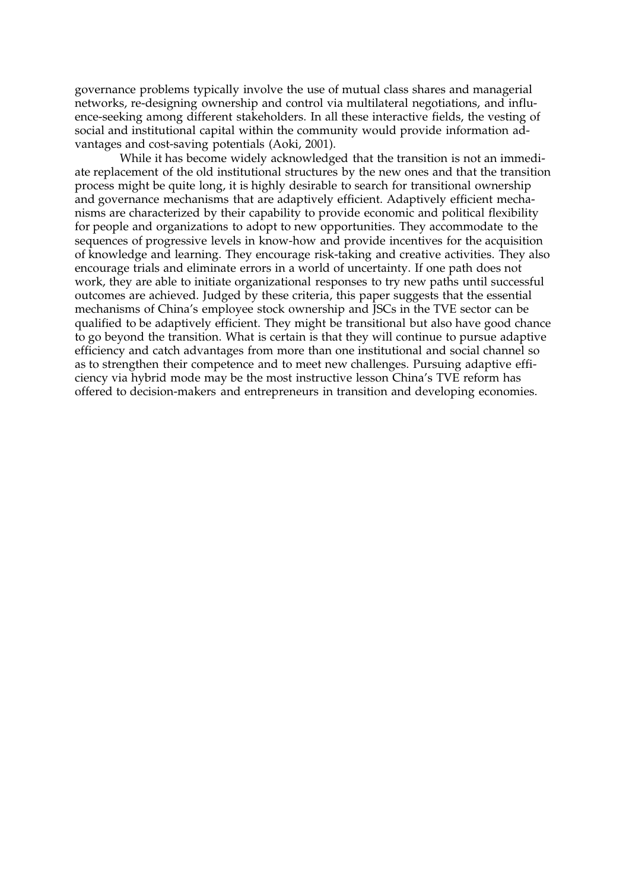governance problems typically involve the use of mutual class shares and managerial networks, re-designing ownership and control via multilateral negotiations, and influence-seeking among different stakeholders. In all these interactive fields, the vesting of social and institutional capital within the community would provide information advantages and cost-saving potentials (Aoki, 2001).

While it has become widely acknowledged that the transition is not an immediate replacement of the old institutional structures by the new ones and that the transition process might be quite long, it is highly desirable to search for transitional ownership and governance mechanisms that are adaptively efficient. Adaptively efficient mechanisms are characterized by their capability to provide economic and political flexibility for people and organizations to adopt to new opportunities. They accommodate to the sequences of progressive levels in know-how and provide incentives for the acquisition of knowledge and learning. They encourage risk-taking and creative activities. They also encourage trials and eliminate errors in a world of uncertainty. If one path does not work, they are able to initiate organizational responses to try new paths until successful outcomes are achieved. Judged by these criteria, this paper suggests that the essential mechanisms of China's employee stock ownership and JSCs in the TVE sector can be qualified to be adaptively efficient. They might be transitional but also have good chance to go beyond the transition. What is certain is that they will continue to pursue adaptive efficiency and catch advantages from more than one institutional and social channel so as to strengthen their competence and to meet new challenges. Pursuing adaptive efficiency via hybrid mode may be the most instructive lesson China's TVE reform has offered to decision-makers and entrepreneurs in transition and developing economies.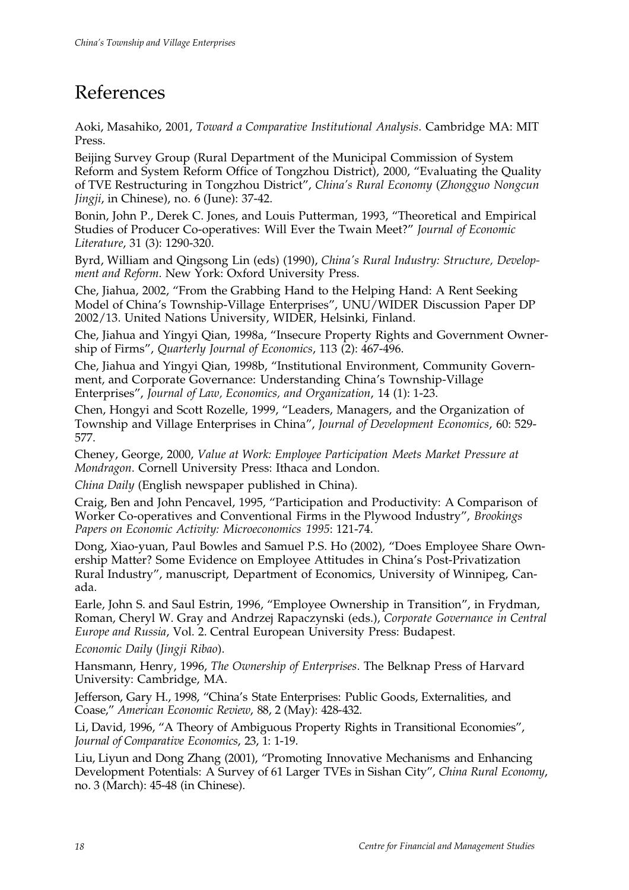# References

Aoki, Masahiko, 2001, *Toward a Comparative Institutional Analysis*. Cambridge MA: MIT Press.

Beijing Survey Group (Rural Department of the Municipal Commission of System Reform and System Reform Office of Tongzhou District), 2000, "Evaluating the Quality of TVE Restructuring in Tongzhou District", *China's Rural Economy* (*Zhongguo Nongcun Jingji*, in Chinese), no. 6 (June): 37-42.

Bonin, John P., Derek C. Jones, and Louis Putterman, 1993, "Theoretical and Empirical Studies of Producer Co-operatives: Will Ever the Twain Meet?" *Journal of Economic Literature*, 31 (3): 1290-320.

Byrd, William and Qingsong Lin (eds) (1990), *China's Rural Industry: Structure, Development and Reform*. New York: Oxford University Press.

Che, Jiahua, 2002, "From the Grabbing Hand to the Helping Hand: A Rent Seeking Model of China's Township-Village Enterprises", UNU/WIDER Discussion Paper DP 2002/13. United Nations University, WIDER, Helsinki, Finland.

Che, Jiahua and Yingyi Qian, 1998a, "Insecure Property Rights and Government Ownership of Firms", *Quarterly Journal of Economics*, 113 (2): 467-496.

Che, Jiahua and Yingyi Qian, 1998b, "Institutional Environment, Community Government, and Corporate Governance: Understanding China's Township-Village Enterprises", *Journal of Law, Economics, and Organization*, 14 (1): 1-23.

Chen, Hongyi and Scott Rozelle, 1999, "Leaders, Managers, and the Organization of Township and Village Enterprises in China", *Journal of Development Economics*, 60: 529- 577.

Cheney, George, 2000, *Value at Work: Employee Participation Meets Market Pressure at Mondragon*. Cornell University Press: Ithaca and London.

*China Daily* (English newspaper published in China).

Craig, Ben and John Pencavel, 1995, "Participation and Productivity: A Comparison of Worker Co-operatives and Conventional Firms in the Plywood Industry", *Brookings Papers on Economic Activity: Microeconomics 1995*: 121-74.

Dong, Xiao-yuan, Paul Bowles and Samuel P.S. Ho (2002), "Does Employee Share Ownership Matter? Some Evidence on Employee Attitudes in China's Post-Privatization Rural Industry", manuscript, Department of Economics, University of Winnipeg, Canada.

Earle, John S. and Saul Estrin, 1996, "Employee Ownership in Transition", in Frydman, Roman, Cheryl W. Gray and Andrzej Rapaczynski (eds.), *Corporate Governance in Central Europe and Russia*, Vol. 2. Central European University Press: Budapest.

*Economic Daily* (*Jingji Ribao*).

Hansmann, Henry, 1996, *The Ownership of Enterprises*. The Belknap Press of Harvard University: Cambridge, MA.

Jefferson, Gary H., 1998, "China's State Enterprises: Public Goods, Externalities, and Coase," *American Economic Review*, 88, 2 (May): 428-432.

Li, David, 1996, "A Theory of Ambiguous Property Rights in Transitional Economies", *Journal of Comparative Economics*, 23, 1: 1-19.

Liu, Liyun and Dong Zhang (2001), "Promoting Innovative Mechanisms and Enhancing Development Potentials: A Survey of 61 Larger TVEs in Sishan City", *China Rural Economy*, no. 3 (March): 45-48 (in Chinese).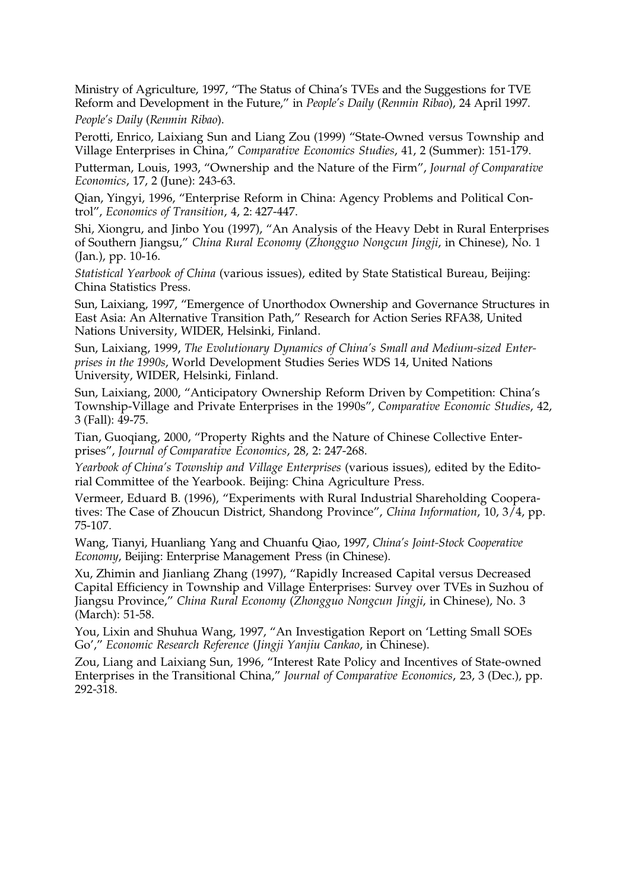Ministry of Agriculture, 1997, "The Status of China's TVEs and the Suggestions for TVE Reform and Development in the Future," in *People's Daily* (*Renmin Ribao*), 24 April 1997. *People's Daily* (*Renmin Ribao*).

Perotti, Enrico, Laixiang Sun and Liang Zou (1999) "State-Owned versus Township and Village Enterprises in China," *Comparative Economics Studies*, 41, 2 (Summer): 151-179.

Putterman, Louis, 1993, "Ownership and the Nature of the Firm", *Journal of Comparative Economics*, 17, 2 (June): 243-63.

Qian, Yingyi, 1996, "Enterprise Reform in China: Agency Problems and Political Control", *Economics of Transition*, 4, 2: 427-447.

Shi, Xiongru, and Jinbo You (1997), "An Analysis of the Heavy Debt in Rural Enterprises of Southern Jiangsu," *China Rural Economy* (*Zhongguo Nongcun Jingji*, in Chinese), No. 1 (Jan.), pp. 10-16.

*Statistical Yearbook of China* (various issues), edited by State Statistical Bureau, Beijing: China Statistics Press.

Sun, Laixiang, 1997, "Emergence of Unorthodox Ownership and Governance Structures in East Asia: An Alternative Transition Path," Research for Action Series RFA38, United Nations University, WIDER, Helsinki, Finland.

Sun, Laixiang, 1999, *The Evolutionary Dynamics of China's Small and Medium-sized Enterprises in the 1990s*, World Development Studies Series WDS 14, United Nations University, WIDER, Helsinki, Finland.

Sun, Laixiang, 2000, "Anticipatory Ownership Reform Driven by Competition: China's Township-Village and Private Enterprises in the 1990s", *Comparative Economic Studies*, 42, 3 (Fall): 49-75.

Tian, Guoqiang, 2000, "Property Rights and the Nature of Chinese Collective Enterprises", *Journal of Comparative Economics*, 28, 2: 247-268.

*Yearbook of China's Township and Village Enterprises* (various issues), edited by the Editorial Committee of the Yearbook. Beijing: China Agriculture Press.

Vermeer, Eduard B. (1996), "Experiments with Rural Industrial Shareholding Cooperatives: The Case of Zhoucun District, Shandong Province", *China Information*, 10, 3/4, pp. 75-107.

Wang, Tianyi, Huanliang Yang and Chuanfu Qiao, 1997, *China's Joint-Stock Cooperative Economy*, Beijing: Enterprise Management Press (in Chinese).

Xu, Zhimin and Jianliang Zhang (1997), "Rapidly Increased Capital versus Decreased Capital Efficiency in Township and Village Enterprises: Survey over TVEs in Suzhou of Jiangsu Province," *China Rural Economy* (*Zhongguo Nongcun Jingji*, in Chinese), No. 3 (March): 51-58.

You, Lixin and Shuhua Wang, 1997, "An Investigation Report on 'Letting Small SOEs Go'," *Economic Research Reference* (*Jingji Yanjiu Cankao*, in Chinese).

Zou, Liang and Laixiang Sun, 1996, "Interest Rate Policy and Incentives of State-owned Enterprises in the Transitional China," *Journal of Comparative Economics*, 23, 3 (Dec.), pp.  $292 - 318.$